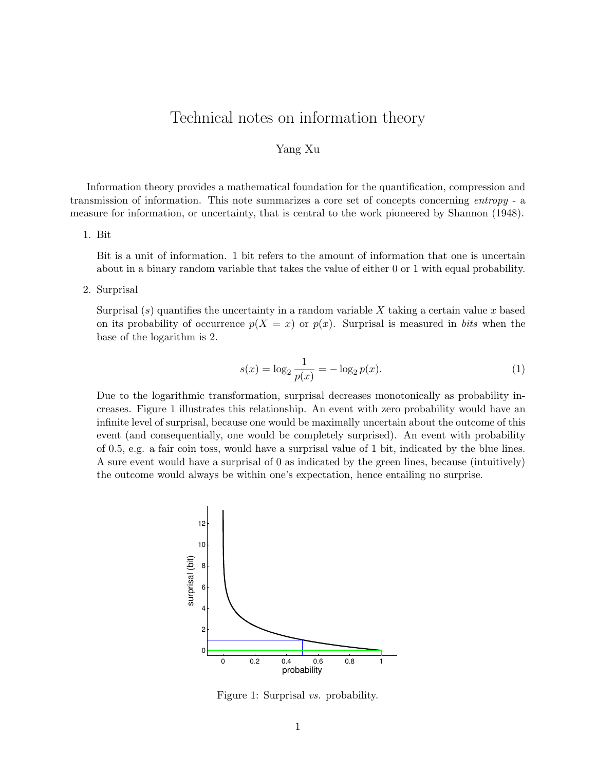# Technical notes on information theory

#### Yang Xu

Information theory provides a mathematical foundation for the quantification, compression and transmission of information. This note summarizes a core set of concepts concerning entropy - a measure for information, or uncertainty, that is central to the work pioneered by Shannon (1948).

## 1. Bit

Bit is a unit of information. 1 bit refers to the amount of information that one is uncertain about in a binary random variable that takes the value of either 0 or 1 with equal probability.

2. Surprisal

Surprisal  $(s)$  quantifies the uncertainty in a random variable X taking a certain value x based on its probability of occurrence  $p(X = x)$  or  $p(x)$ . Surprisal is measured in bits when the base of the logarithm is 2.

$$
s(x) = \log_2 \frac{1}{p(x)} = -\log_2 p(x). \tag{1}
$$

Due to the logarithmic transformation, surprisal decreases monotonically as probability increases. Figure 1 illustrates this relationship. An event with zero probability would have an infinite level of surprisal, because one would be maximally uncertain about the outcome of this event (and consequentially, one would be completely surprised). An event with probability of 0.5, e.g. a fair coin toss, would have a surprisal value of 1 bit, indicated by the blue lines. A sure event would have a surprisal of 0 as indicated by the green lines, because (intuitively) the outcome would always be within one's expectation, hence entailing no surprise.



Figure 1: Surprisal vs. probability.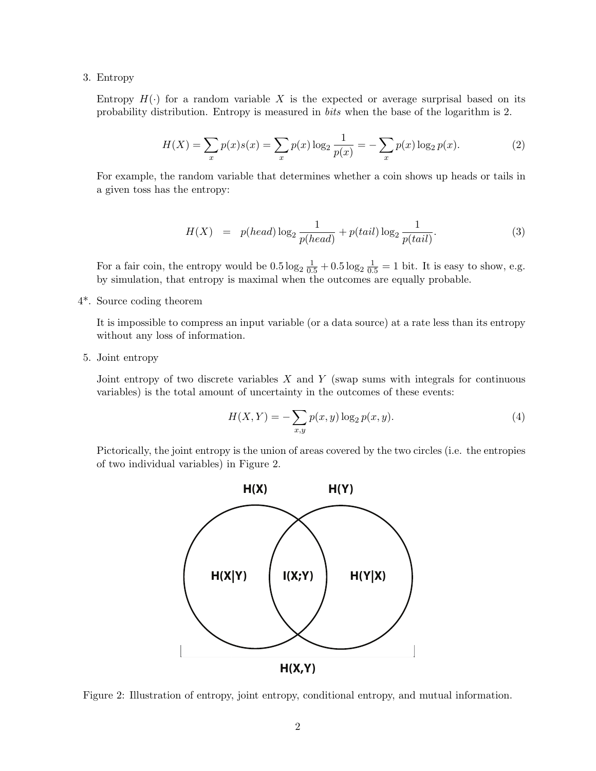### 3. Entropy

Entropy  $H(\cdot)$  for a random variable X is the expected or average surprisal based on its probability distribution. Entropy is measured in bits when the base of the logarithm is 2.

$$
H(X) = \sum_{x} p(x)s(x) = \sum_{x} p(x) \log_2 \frac{1}{p(x)} = -\sum_{x} p(x) \log_2 p(x).
$$
 (2)

For example, the random variable that determines whether a coin shows up heads or tails in a given toss has the entropy:

$$
H(X) = p(head) \log_2 \frac{1}{p(head)} + p(tail) \log_2 \frac{1}{p(tail)}.
$$
 (3)

For a fair coin, the entropy would be  $0.5 \log_2 \frac{1}{0.5} + 0.5 \log_2 \frac{1}{0.5} = 1$  bit. It is easy to show, e.g. by simulation, that entropy is maximal when the outcomes are equally probable.

4\*. Source coding theorem

It is impossible to compress an input variable (or a data source) at a rate less than its entropy without any loss of information.

5. Joint entropy

Joint entropy of two discrete variables  $X$  and  $Y$  (swap sums with integrals for continuous variables) is the total amount of uncertainty in the outcomes of these events:

$$
H(X,Y) = -\sum_{x,y} p(x,y) \log_2 p(x,y).
$$
 (4)

Pictorically, the joint entropy is the union of areas covered by the two circles (i.e. the entropies of two individual variables) in Figure 2.



Figure 2: Illustration of entropy, joint entropy, conditional entropy, and mutual information.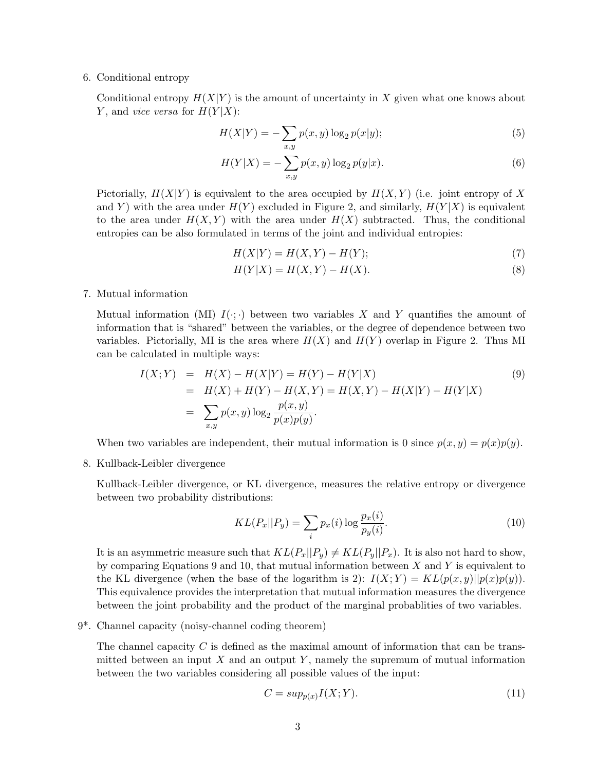#### 6. Conditional entropy

Conditional entropy  $H(X|Y)$  is the amount of uncertainty in X given what one knows about Y, and *vice versa* for  $H(Y|X)$ :

$$
H(X|Y) = -\sum_{x,y} p(x,y) \log_2 p(x|y);
$$
\n(5)

$$
H(Y|X) = -\sum_{x,y} p(x,y) \log_2 p(y|x).
$$
 (6)

Pictorially,  $H(X|Y)$  is equivalent to the area occupied by  $H(X,Y)$  (i.e. joint entropy of X and Y) with the area under  $H(Y)$  excluded in Figure 2, and similarly,  $H(Y|X)$  is equivalent to the area under  $H(X, Y)$  with the area under  $H(X)$  subtracted. Thus, the conditional entropies can be also formulated in terms of the joint and individual entropies:

 $H(X|Y) = H(X,Y) - H(Y);$  (7)

$$
H(Y|X) = H(X,Y) - H(X).
$$
 (8)

7. Mutual information

Mutual information (MI)  $I(\cdot;\cdot)$  between two variables X and Y quantifies the amount of information that is "shared" between the variables, or the degree of dependence between two variables. Pictorially, MI is the area where  $H(X)$  and  $H(Y)$  overlap in Figure 2. Thus MI can be calculated in multiple ways:

$$
I(X;Y) = H(X) - H(X|Y) = H(Y) - H(Y|X)
$$
  
=  $H(X) + H(Y) - H(X,Y) = H(X,Y) - H(X|Y) - H(Y|X)$   
= 
$$
\sum_{x,y} p(x,y) \log_2 \frac{p(x,y)}{p(x)p(y)}.
$$
 (9)

When two variables are independent, their mutual information is 0 since  $p(x, y) = p(x)p(y)$ .

8. Kullback-Leibler divergence

Kullback-Leibler divergence, or KL divergence, measures the relative entropy or divergence between two probability distributions:

$$
KL(P_x||P_y) = \sum_i p_x(i) \log \frac{p_x(i)}{p_y(i)}.\tag{10}
$$

It is an asymmetric measure such that  $KL(P_x||P_y) \neq KL(P_y||P_x)$ . It is also not hard to show, by comparing Equations 9 and 10, that mutual information between  $X$  and  $Y$  is equivalent to the KL divergence (when the base of the logarithm is 2):  $I(X; Y) = KL(p(x, y)||p(x)p(y)).$ This equivalence provides the interpretation that mutual information measures the divergence between the joint probability and the product of the marginal probablities of two variables.

9\*. Channel capacity (noisy-channel coding theorem)

The channel capacity  $C$  is defined as the maximal amount of information that can be transmitted between an input  $X$  and an output  $Y$ , namely the supremum of mutual information between the two variables considering all possible values of the input:

$$
C = \sup_{p(x)} I(X;Y). \tag{11}
$$